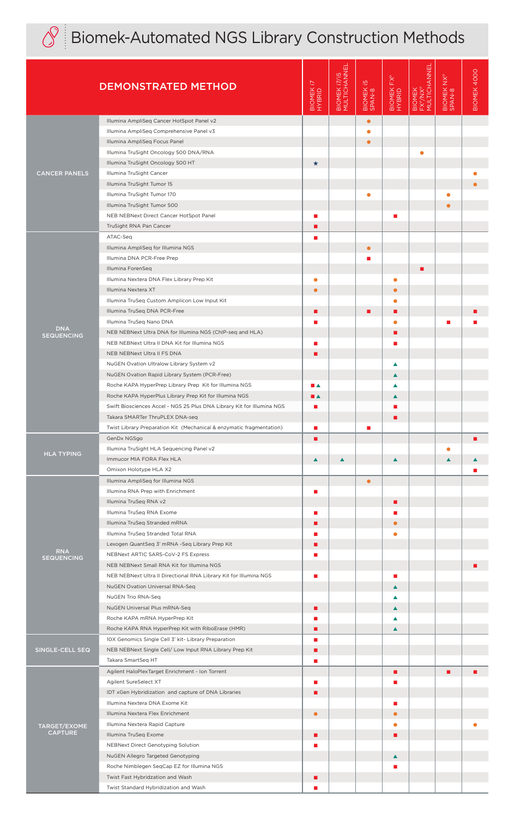

## $\textcircled{S}$  Biomek-Automated NGS Library Construction Methods

|                                       | <b>DEMONSTRATED METHOD</b>                                                                                                                                                                                                                  | BIOMEK 17<br>HYBRID | BIOMEK 17/15<br>MULTICHANNEI | $\overline{5}$<br>BIOMEK            | $FX^P$<br>BIOMEK<br>HYBRID | BIOMEK<br>FX <sup>P</sup> /NX <sup>P</sup><br>MULTICHANNEL | BIOMEK NX <sup>P</sup><br>SPAN-8 | BIOMEK 4000 |
|---------------------------------------|---------------------------------------------------------------------------------------------------------------------------------------------------------------------------------------------------------------------------------------------|---------------------|------------------------------|-------------------------------------|----------------------------|------------------------------------------------------------|----------------------------------|-------------|
| <b>CANCER PANELS</b>                  | Illumina AmpliSeq Cancer HotSpot Panel v2<br>Illumina AmpliSeq Comprehensive Panel v3<br>Illumina AmpliSeq Focus Panel<br>Illumina TruSight Oncology 500 DNA/RNA                                                                            |                     |                              | $\bullet$<br>$\bullet$<br>$\bullet$ |                            |                                                            |                                  |             |
|                                       | Illumina TruSight Oncology 500 HT<br>Illumina TruSight Cancer<br>Illumina TruSight Tumor 15<br>Illumina TruSight Tumor 170                                                                                                                  | $\star$             |                              | $\bullet$                           |                            |                                                            | $\bullet$                        |             |
|                                       | Illumina TruSight Tumor 500<br>NEB NEBNext Direct Cancer HotSpot Panel<br>TruSight RNA Pan Cancer<br>ATAC-Seq                                                                                                                               | п<br>П<br>п         |                              |                                     | п                          |                                                            |                                  |             |
| <b>DNA</b><br><b>SEQUENCING</b>       | Illumina AmpliSeq for Illumina NGS<br>Illumina DNA PCR-Free Prep<br>Illumina ForenSeg<br>Illumina Nextera DNA Flex Library Prep Kit                                                                                                         | ٠                   |                              | $\bullet$<br>П                      | $\bullet$                  |                                                            |                                  |             |
|                                       | Illumina Nextera XT<br>Illumina TruSeq Custom Amplicon Low Input Kit<br>Illumina TruSeq DNA PCR-Free<br>Illumina TruSeq Nano DNA                                                                                                            | П                   |                              | ■                                   | $\bullet$<br>■<br>٠        |                                                            |                                  |             |
|                                       | NEB NEBNext Ultra DNA for Illumina NGS (ChIP-seq and HLA)<br>NEB NEBNext Ultra II DNA Kit for Illumina NGS<br>NEB NEBNext Ultra II FS DNA<br>NuGEN Ovation Ultralow Library System v2                                                       | п<br>▬              |                              |                                     | г                          |                                                            |                                  |             |
|                                       | NuGEN Ovation Rapid Library System (PCR-Free)<br>Roche KAPA HyperPrep Library Prep Kit for Illumina NGS<br>Roche KAPA HyperPlus Library Prep Kit for Illumina NGS<br>Swift Biosciences Accel - NGS 2S Plus DNA Library Kit for Illumina NGS | ■▲<br>∎▲<br>п       |                              |                                     | ▲<br>▲<br>▲                |                                                            |                                  |             |
|                                       | Takara SMARTer ThruPLEX DNA-seq<br>Twist Library Preparation Kit (Mechanical & enzymatic fragmentation)<br>GenDx NGSgo                                                                                                                      | п<br>п              |                              | П                                   |                            |                                                            |                                  | п           |
| <b>HLA TYPING</b>                     | Illumina TruSight HLA Sequencing Panel v2<br>Immucor MIA FORA Flex HLA<br>Omixon Holotype HLA X2<br>Illumina AmpliSeq for Illumina NGS                                                                                                      | $\blacktriangle$    | $\blacktriangle$             | $\bullet$                           | $\blacktriangle$           |                                                            | $\bullet$<br>$\blacktriangle$    |             |
| <b>RNA</b><br><b>SEQUENCING</b>       | Illumina RNA Prep with Enrichment<br>Illumina TruSeq RNA v2<br>Illumina TruSeq RNA Exome                                                                                                                                                    | п<br>п              |                              |                                     | п                          |                                                            |                                  |             |
|                                       | Illumina TruSeq Stranded mRNA<br>Illumina TruSeq Stranded Total RNA<br>Lexogen QuantSeq 3' mRNA -Seq Library Prep Kit<br>NEBNext ARTIC SARS-CoV-2 FS Express                                                                                | ш<br>п              |                              |                                     | ●                          |                                                            |                                  |             |
|                                       | NEB NEBNext Small RNA Kit for Illumina NGS<br>NEB NEBNext Ultra II Directional RNA Library Kit for Illumina NGS<br><b>NuGEN Ovation Universal RNA-Seq</b><br>NuGEN Trio RNA-Seq                                                             | п                   |                              |                                     | п<br>$\blacktriangle$<br>▲ |                                                            |                                  |             |
|                                       | NuGEN Universal Plus mRNA-Seq<br>Roche KAPA mRNA HyperPrep Kit<br>Roche KAPA RNA HyperPrep Kit with RiboErase (HMR)<br>10X Genomics Single Cell 3' kit- Library Preparation                                                                 | п<br>п              |                              |                                     | ▲<br>▲<br>▲                |                                                            |                                  |             |
| SINGLE-CELL SEQ                       | NEB NEBNext Single Cell/ Low Input RNA Library Prep Kit<br>Takara SmartSeq HT<br>Agilent HaloPlexTarget Enrichment - Ion Torrent                                                                                                            | п<br>п              |                              |                                     | п                          |                                                            | ■                                |             |
| <b>TARGET/EXOME</b><br><b>CAPTURE</b> | Agilent SureSelect XT<br>IDT xGen Hybridization and capture of DNA Libraries<br>Illumina Nextera DNA Exome Kit<br>Illumina Nextera Flex Enrichment                                                                                          | п<br>п<br>$\bullet$ |                              |                                     | г                          |                                                            |                                  |             |
|                                       | Illumina Nextera Rapid Capture<br>Illumina TruSeq Exome<br>NEBNext Direct Genotyping Solution<br>NuGEN Allegro Targeted Genotyping                                                                                                          | п<br>ш              |                              |                                     | $\bullet$<br>П             |                                                            |                                  |             |
|                                       | Roche Nimblegen SeqCap EZ for Illumina NGS<br>Twist Fast Hybridzation and Wash<br>Twist Standard Hybridization and Wash                                                                                                                     | п                   |                              |                                     | ▲                          |                                                            |                                  |             |